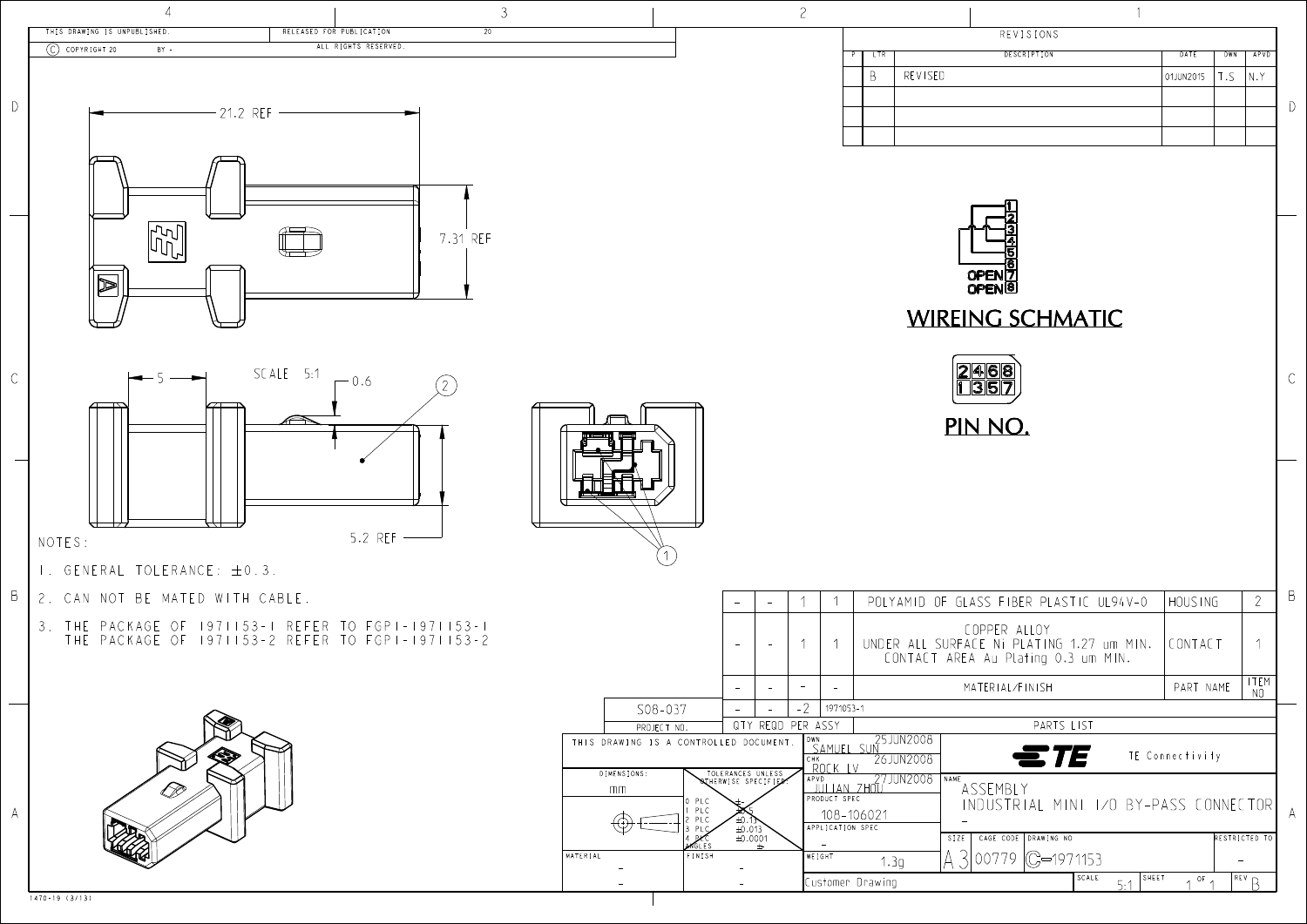

| COPPER ALLOY<br>FACE Ni PLATING 1.27 um MIN.<br>REA Au Plating 0.3 um MIN. | CONTACT   |            |   |
|----------------------------------------------------------------------------|-----------|------------|---|
| MATERIAL/FINISH                                                            | PART NAME | item<br>NΟ |   |
| PARTS LIST                                                                 |           |            |   |
| $\equiv$ TE<br>TE Connectivity                                             |           |            |   |
| ١F<br>ASSEMBLY<br>INDUSTRIAL MINI 1/0 BY-PASS CONNECTOR                    |           |            | A |
| ZE<br>CAGE CODE<br>DRAWING NO<br>RESTRICTED TO<br>(C—1971153<br>00779      |           |            |   |
| SCALE<br>SHEET<br>5:1                                                      | OF        | REV        |   |
|                                                                            |           |            |   |



OPEN[7 OPEN<sup>8</sup>





REVISIONS

**DESCRIPTION** 

DATE

01JUN2015

 $\left| \right|$ 

 $D$ 

 $\mathcal{C}$ 

 $\Box$ 

 $2 \mid$ 

APVD

 $|N.Y|$ 

 $DWN$ 

T.S